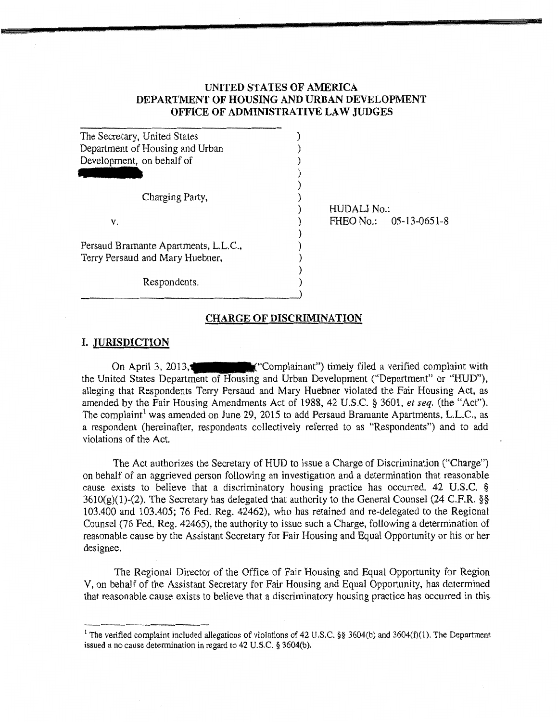## UNITED STATES OF AMERICA DEPARTMENT OF HOUSING AND URBAN DEVELOPMENT OFFICE OF ADMINISTRATIVE LAW JUDGES

| The Secretary, United States         |  |
|--------------------------------------|--|
| Department of Housing and Urban      |  |
| Development, on behalf of            |  |
|                                      |  |
|                                      |  |
| Charging Party,                      |  |
|                                      |  |
| v.                                   |  |
|                                      |  |
| Persaud Bramante Apartments, L.L.C., |  |
| Terry Persaud and Mary Huebner,      |  |
|                                      |  |
| Respondents.                         |  |

HUDALJ No.: FHEO No.: 05-13-0651-8

#### CHARGE OF DISCRIMINATION

)

### I. JURISDICTION

On April 3, 2013, the United States Department of Housing and Urban Development ("Department" or "HUD"), alleging that Respondents Terry Persaud and Mary Huebner violated the Fair Housing Act, as amended by the Fair Housing Amendments Act of 1988, 42 U.S.C. § 3601, *et seq.* (the "Act"). The complaint<sup>1</sup> was amended on June 29, 2015 to add Persaud Bramante Apartments, L.L.C., as a respondent (hereinafter, respondents collectively referred to as "Respondents") and to add violations of the Act.

The Act authorizes the Secretary of HUD to issue a Charge of Discrimination ("Charge") on behalf of an aggrieved person following an investigation and a determination that reasonable cause exists to believe that a discriminatory housing practice has occurred. 42 U.S.C. §  $3610(g)(1)-(2)$ . The Secretary has delegated that authority to the General Counsel (24 C.F.R. §§ 103.400 and 103.405; 76 Fed. Reg. 42462), who has retained and re-delegated to the Regional Counsel (76 Fed. Reg. 42465), the authority to issue such a Charge, following a determination of reasonable cause by the Assistant Secretary for Fair Housing and Equal Opportunity or his or her designee.

The Regional Director of the Office of Fair Housing and Equal Opportunity for Region V, on behalf of the Assistant Secretary for Fair Housing and Equal Opportunity, has determined that reasonable cause exists to believe that a discriminatory housing practice has occurred in this

<sup>&</sup>lt;sup>1</sup> The verified complaint included allegations of violations of 42 U.S.C. §§ 3604(b) and 3604(f)(1). The Department issued a no cause determination in regard to 42 U.S.C. § 3604(b).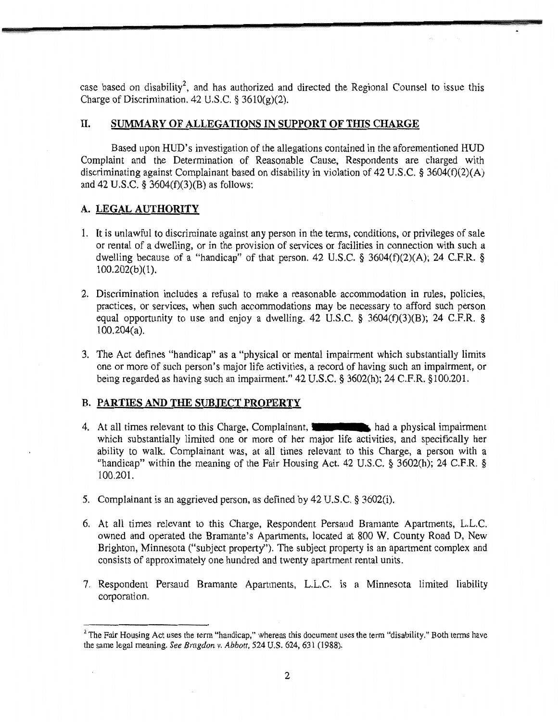case based on disability<sup>2</sup>, and has authorized and directed the Regional Counsel to issue this Charge of Discrimination. 42 U.S.C.  $\S$  3610(g)(2).

# II. SUMMARY OF ALLEGATIONS IN SUPPORT OF THIS CHARGE

Based upon HUD's investigation of the allegations contained in the aforementioned HUD Complaint and the Determination of Reasonable Cause, Respondents are charged with discriminating against Complainant based on disability in violation of 42 U.S.C. § 3604(f)(2)(A) and 42 U.S.C. § 3604(f)(3)(B) as follows:

# A. LEGAL AUTHORITY

- 1. It is unlawful to discriminate against any person in the terms, conditions, or privileges of sale or rental of a dwelling, or in the provision of services or facilities in connection with such a dwelling because of a "handicap" of that person. 42 U.S.C. § 3604(f)(2)(A); 24 C.F.R. § 100.202(b)(1).
- 2. Discrimination includes a refusal to make a reasonable accommodation in rules, policies, practices, or services, when such accommodations may be necessary to afford such person equal opportunity to use and enjoy a dwelling. 42 U.S.C. § 3604 $(f)(3)(B)$ ; 24 C.F.R. § 100.204(a).
- 3. The Act defines "handicap" as a "physical or mental impairment which substantially limits one or more of such person's major life activities, a record of having such an impairment, or being regarded as having such an impairment." 42 U.S.C. § 3602(h); 24 C.F.R. §100.201.

## B. PARTIES AND THE SUBJECT PROPERTY

- 4. At all times relevant to this Charge, Complainant, 11<sup>4</sup> and a physical impairment which substantially limited one or more of her major life activities, and specifically her ability to walk. Complainant was, at all times relevant to this Charge, a person with a "handicap" within the meaning of the Fair Housing Act. 42 U.S.C. § 3602(h); 24 C.F.R. § 100.201.
- 5. Complainant is an aggrieved person, as defined by 42 U.S.C. § 3602(i).
- 6. At all times relevant to this Charge, Respondent Persaud Bramante Apartments, L.L.C. owned and operated the Bramante's Apartments, located at 800 W. County Road D, New Brighton, Minnesota ("subject property"). The subject property is an apartment complex and consists of approximately one hundred and twenty apartment rental units.
- 7. Respondent Persaud Bramante Apartments, L.L.C. is a Minnesota limited liability corporation.

<sup>&</sup>lt;sup>2</sup> The Fair Housing Act uses the term "handicap," whereas this document uses the term "disability." Both terms have the same legal meaning. *See Bragdon v. Abbott,* 524 U.S. 624, 631 (1988).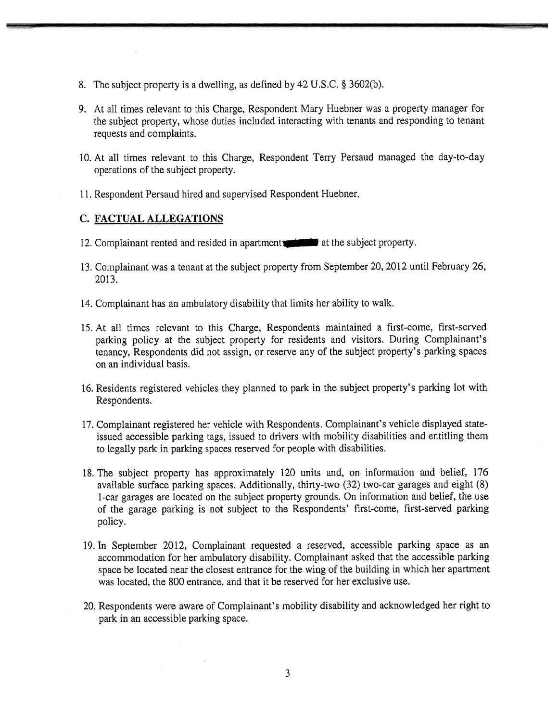- 8. The subject property is a dwelling, as defined by 42 U.S.C. § 3602(b).
- 9. At all times relevant to this Charge, Respondent Mary Huebner was a property manager for the subject property, whose duties included interacting with tenants and responding to tenant requests and complaints.
- 10. At all times relevant to this Charge, Respondent Terry Persaud managed the day-to-day operations of the subject property.
- 11. Respondent Persaud hired and supervised Respondent Huebner.

### C. FACTUAL ALLEGATIONS

- 12. Complainant rented and resided in apartments at the subject property.
- 13. Complainant was a tenant at the subject property from September 20, 2012 until February 26, 2013.
- 14. Complainant has an ambulatory disability that limits her ability to walk.
- 15. At all times relevant to this Charge, Respondents maintained a first-come, first-served parking policy at the subject property for residents and visitors. During Complainant's tenancy, Respondents did not assign, or reserve any of the subject property's parking spaces on an individual basis.
- 16. Residents registered vehicles they planned to park in the subject property's parking lot with Respondents.
- 17. Complainant registered her vehicle with Respondents. Complainant's vehicle displayed stateissued accessible parking tags, issued to drivers with mobility disabilities and entitling them to legally park in parking spaces reserved for people with disabilities.
- 18. The subject property has approximately 120 units and, on information and belief, 176 available surface parking spaces. Additionally, thirty-two (32) two-car garages and eight (8) 1-car garages are located on the subject property grounds. On information and belief, the use of the garage parking is not subject to the Respondents' first-come, first-served parking policy.
- 19. In September 2012, Complainant requested a reserved, accessible parking space as an accommodation for her ambulatory disability. Complainant asked that the accessible parking space be located near the closest entrance for the wing of the building in which her apartment was located, the 800 entrance, and that it be reserved for her exclusive use.
- 20. Respondents were aware of Complainant's mobility disability and acknowledged her right to park in an accessible parking space.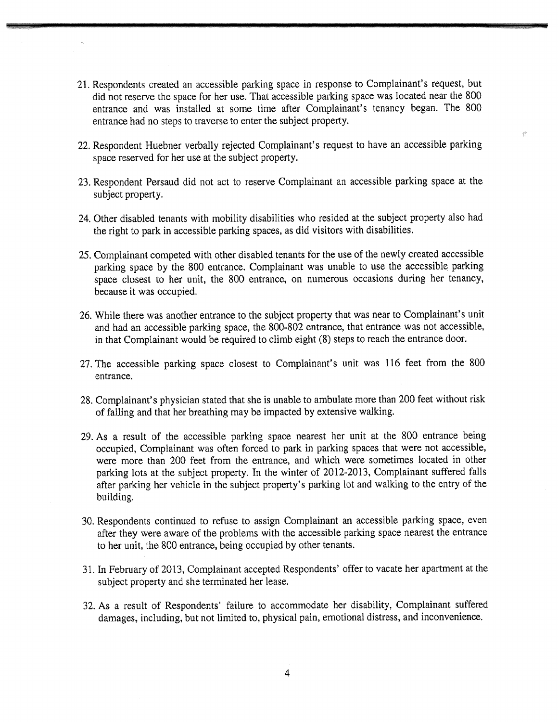- 21. Respondents created an accessible parking space in response to Complainant's request, but did not reserve the space for her use. That accessible parking space was located near the 800 entrance and was installed at some time after Complainant's tenancy began. The 800 entrance had no steps to traverse to enter the subject property.
- 22. Respondent Huebner verbally rejected Complainant's request to have an accessible parking space reserved for her use at the subject property.
- 23. Respondent Persaud did not act to reserve Complainant an accessible parking space at the subject property.
- 24. Other disabled tenants with mobility disabilities who resided at the subject property also had the right to park in accessible parking spaces, as did visitors with disabilities.
- 25. Complainant competed with other disabled tenants for the use of the newly created accessible parking space by the 800 entrance. Complainant was unable to use the accessible parking space closest to her unit, the 800 entrance, on numerous occasions during her tenancy, because it was occupied.
- 26. While there was another entrance to the subject property that was near to Complainant's unit and had an accessible parking space, the 800-802 entrance, that entrance was not accessible, in that Complainant would be required to climb eight (8) steps to reach the entrance door.
- 27. The accessible parking space closest to Complainant's unit was 116 feet from the 800 entrance.
- 28. Complainant's physician stated that she is unable to ambulate more than 200 feet without risk of falling and that her breathing may be impacted by extensive walking.
- 29. As a result of the accessible parking space nearest her unit at the 800 entrance being occupied, Complainant was often forced to park in parking spaces that were not accessible, were more than 200 feet from the entrance, and which were sometimes located in other parking lots at the subject property. In the winter of 2012-2013, Complainant suffered falls after parking her vehicle in the subject property's parking lot and walking to the entry of the building.
- 30. Respondents continued to refuse to assign Complainant an accessible parking space, even after they were aware of the problems with the accessible parking space nearest the entrance to her unit, the 800 entrance, being occupied by other tenants.
- 31. In February of 2013, Complainant accepted Respondents' offer to vacate her apartment at the subject property and she terminated her lease.
- 32. As a result of Respondents' failure to accommodate her disability, Complainant suffered damages, including, but not limited to, physical pain, emotional distress, and inconvenience.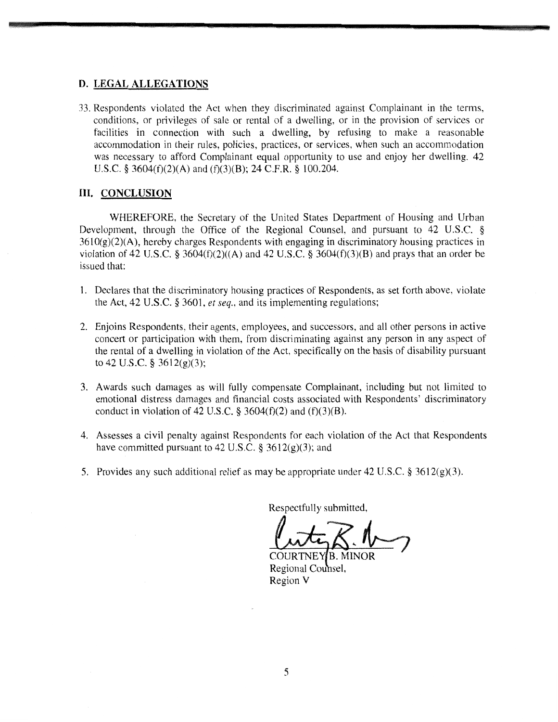#### **D. LEGAL ALLEGATIONS**

**33. Respondents violated the Act when they discriminated against Complainant in the terms, conditions, or privileges of sale or rental of a dwelling, or in the provision of services or facilities in connection with such a dwelling, by refusing to make a reasonable accommodation in their rules, policies, practices, or services, when such an accommodation was necessary to afford Complainant equal opportunity to use and enjoy her dwelling. 42 U.S.C. § 3604(f)(2)(A) and (f)(3)(B); 24 C.F.R. § 100.204.** 

### **III. CONCLUSION**

**WHEREFORE, the Secretary of the United States Department of Housing and Urban Development, through the Office of the Regional Counsel, and pursuant to 42 U.S.C. § 3610(g)(2)(A), hereby charges Respondents with engaging in discriminatory housing practices in violation of 42 U.S.C. § 3604(f)(2)((A) and 42 U.S.C. § 3604(f)(3)(B) and prays that an order be issued that:** 

- **Declares that the discriminatory housing practices of Respondents, as set forth above, violate the Act, 42 U.S.C. § 3601,** *et seq.,* **and its implementing regulations;**
- **2. Enjoins Respondents, their agents, employees, and successors, and all other persons in active concert or participation with them, from discriminating against any person in any aspect of the rental of a dwelling in violation of the Act, specifically on the basis of disability pursuant to 42 U.S.C. § 3612(g)(3);**
- **3. Awards such damages as will fully compensate Complainant, including but not limited to emotional distress damages and financial costs associated with Respondents' discriminatory conduct in violation of 42 U.S.C. § 3604(f)(2) and (f)(3)(B).**
- **4. Assesses a civil penalty against Respondents for each violation** of the Act that Respondents **have committed pursuant to 42 U.S.C. § 3612(g)(3); and**
- **Provides any such additional relief as may be appropriate under 42 U.S.C. § 3612(g)(3).**

**Respectfully submitted,** 

**COURTNEY B. MINOR Regional Counsel. Region V**